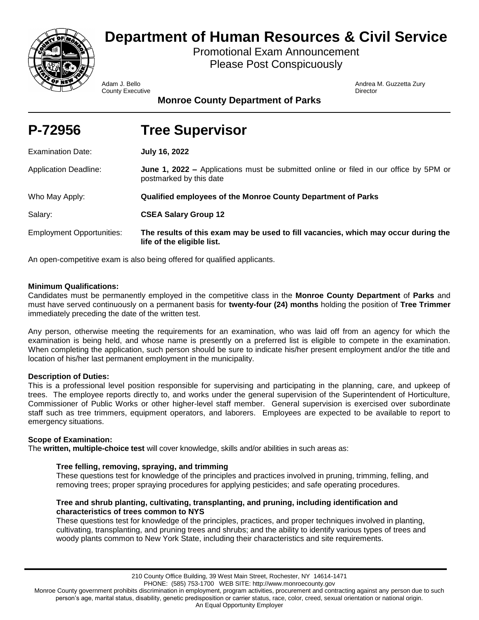

# **Department of Human Resources & Civil Service**

Promotional Exam Announcement Please Post Conspicuously

**County Executive Director** Director **Director** Director

Adam J. Bello Andrea M. Guzzetta Zury

**Monroe County Department of Parks**

| P-72956 | <b>Tree Supervisor</b> |
|---------|------------------------|
|         |                        |

| <b>Examination Date:</b>         | <b>July 16, 2022</b>                                                                                                    |
|----------------------------------|-------------------------------------------------------------------------------------------------------------------------|
| <b>Application Deadline:</b>     | <b>June 1, 2022 –</b> Applications must be submitted online or filed in our office by 5PM or<br>postmarked by this date |
| Who May Apply:                   | Qualified employees of the Monroe County Department of Parks                                                            |
| Salary:                          | <b>CSEA Salary Group 12</b>                                                                                             |
| <b>Employment Opportunities:</b> | The results of this exam may be used to fill vacancies, which may occur during the<br>life of the eligible list.        |

An open-competitive exam is also being offered for qualified applicants.

# **Minimum Qualifications:**

Candidates must be permanently employed in the competitive class in the **Monroe County Department** of **Parks** and must have served continuously on a permanent basis for **twenty-four (24) months** holding the position of **Tree Trimmer** immediately preceding the date of the written test.

Any person, otherwise meeting the requirements for an examination, who was laid off from an agency for which the examination is being held, and whose name is presently on a preferred list is eligible to compete in the examination. When completing the application, such person should be sure to indicate his/her present employment and/or the title and location of his/her last permanent employment in the municipality.

# **Description of Duties:**

This is a professional level position responsible for supervising and participating in the planning, care, and upkeep of trees. The employee reports directly to, and works under the general supervision of the Superintendent of Horticulture, Commissioner of Public Works or other higher-level staff member. General supervision is exercised over subordinate staff such as tree trimmers, equipment operators, and laborers. Employees are expected to be available to report to emergency situations.

# **Scope of Examination:**

The **written, multiple-choice test** will cover knowledge, skills and/or abilities in such areas as:

# **Tree felling, removing, spraying, and trimming**

These questions test for knowledge of the principles and practices involved in pruning, trimming, felling, and removing trees; proper spraying procedures for applying pesticides; and safe operating procedures.

## **Tree and shrub planting, cultivating, transplanting, and pruning, including identification and characteristics of trees common to NYS**

These questions test for knowledge of the principles, practices, and proper techniques involved in planting, cultivating, transplanting, and pruning trees and shrubs; and the ability to identify various types of trees and woody plants common to New York State, including their characteristics and site requirements.

Monroe County government prohibits discrimination in employment, program activities, procurement and contracting against any person due to such person's age, marital status, disability, genetic predisposition or carrier status, race, color, creed, sexual orientation or national origin.

An Equal Opportunity Employer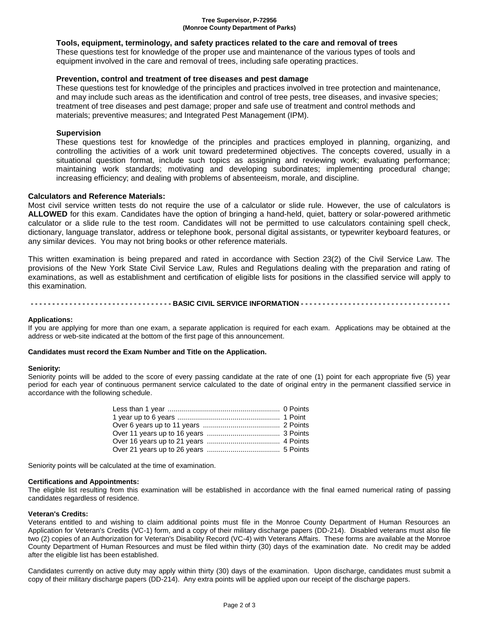#### **Tree Supervisor, P-72956 (Monroe County Department of Parks)**

## **Tools, equipment, terminology, and safety practices related to the care and removal of trees**

These questions test for knowledge of the proper use and maintenance of the various types of tools and equipment involved in the care and removal of trees, including safe operating practices.

## **Prevention, control and treatment of tree diseases and pest damage**

These questions test for knowledge of the principles and practices involved in tree protection and maintenance, and may include such areas as the identification and control of tree pests, tree diseases, and invasive species; treatment of tree diseases and pest damage; proper and safe use of treatment and control methods and materials; preventive measures; and Integrated Pest Management (IPM).

## **Supervision**

These questions test for knowledge of the principles and practices employed in planning, organizing, and controlling the activities of a work unit toward predetermined objectives. The concepts covered, usually in a situational question format, include such topics as assigning and reviewing work; evaluating performance; maintaining work standards; motivating and developing subordinates; implementing procedural change; increasing efficiency; and dealing with problems of absenteeism, morale, and discipline.

## **Calculators and Reference Materials:**

Most civil service written tests do not require the use of a calculator or slide rule. However, the use of calculators is **ALLOWED** for this exam. Candidates have the option of bringing a hand-held, quiet, battery or solar-powered arithmetic calculator or a slide rule to the test room. Candidates will not be permitted to use calculators containing spell check, dictionary, language translator, address or telephone book, personal digital assistants, or typewriter keyboard features, or any similar devices. You may not bring books or other reference materials.

This written examination is being prepared and rated in accordance with Section 23(2) of the Civil Service Law. The provisions of the New York State Civil Service Law, Rules and Regulations dealing with the preparation and rating of examinations, as well as establishment and certification of eligible lists for positions in the classified service will apply to this examination.

------------------- BASIC CIVIL SERVICE INFORMATION ----------------------------------

## **Applications:**

If you are applying for more than one exam, a separate application is required for each exam. Applications may be obtained at the address or web-site indicated at the bottom of the first page of this announcement.

## **Candidates must record the Exam Number and Title on the Application.**

#### **Seniority:**

Seniority points will be added to the score of every passing candidate at the rate of one (1) point for each appropriate five (5) year period for each year of continuous permanent service calculated to the date of original entry in the permanent classified service in accordance with the following schedule.

Seniority points will be calculated at the time of examination.

#### **Certifications and Appointments:**

The eligible list resulting from this examination will be established in accordance with the final earned numerical rating of passing candidates regardless of residence.

#### **Veteran's Credits:**

Veterans entitled to and wishing to claim additional points must file in the Monroe County Department of Human Resources an Application for Veteran's Credits (VC-1) form, and a copy of their military discharge papers (DD-214). Disabled veterans must also file two (2) copies of an Authorization for Veteran's Disability Record (VC-4) with Veterans Affairs. These forms are available at the Monroe County Department of Human Resources and must be filed within thirty (30) days of the examination date. No credit may be added after the eligible list has been established.

Candidates currently on active duty may apply within thirty (30) days of the examination. Upon discharge, candidates must submit a copy of their military discharge papers (DD-214). Any extra points will be applied upon our receipt of the discharge papers.